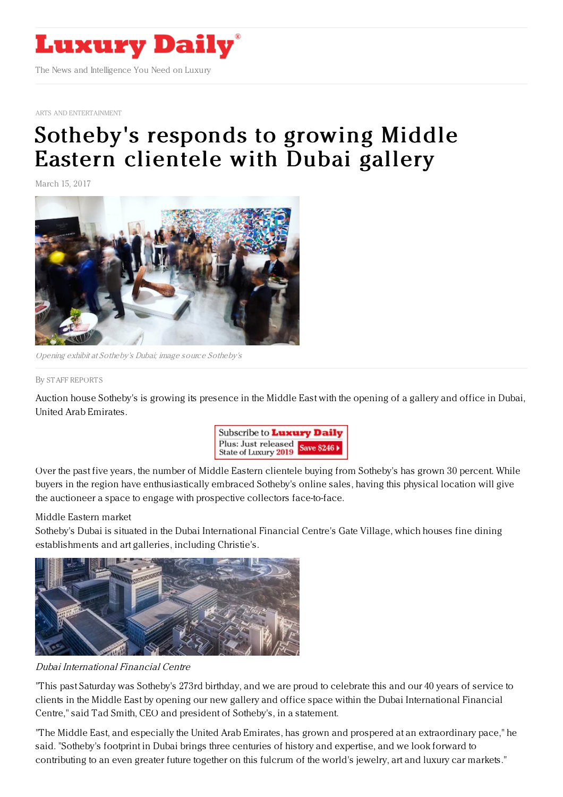

ARTS AND [ENTERTAINMENT](https://www.luxurydaily.com/category/sectors/arts-and-entertainment/)

## [Sotheby's](https://www.luxurydaily.com/sothebys-responds-to-growing-middle-eastern-clientele-with-dubai-gallery/) responds to growing Middle Eastern clientele with Dubai gallery

March 15, 2017



Opening exhibit at Sotheby's Dubai; image source Sotheby's

## By STAFF [REPORT](file:///author/staff-reports) S

Auction house Sotheby's is growing its presence in the Middle East with the opening of a gallery and office in Dubai, United Arab Emirates.



Over the past five years, the number of Middle Eastern clientele buying from Sotheby's has grown 30 percent. While buyers in the region have enthusiastically embraced Sotheby's online sales, having this physical location will give the auctioneer a space to engage with prospective collectors face-to-face.

## Middle Eastern market

Sotheby's Dubai is situated in the Dubai International Financial Centre's Gate Village, which houses fine dining establishments and art galleries, including Christie's.



Dubai International Financial Centre

"This past Saturday was Sotheby's 273rd birthday, and we are proud to celebrate this and our 40 years of service to clients in the Middle East by opening our new gallery and office space within the Dubai International Financial Centre," said Tad Smith, CEO and president of Sotheby's, in a statement.

"The Middle East, and especially the United Arab Emirates, has grown and prospered at an extraordinary pace," he said. "Sotheby's footprint in Dubai brings three centuries of history and expertise, and we look forward to contributing to an even greater future together on this fulcrum of the world's jewelry, art and luxury car markets."